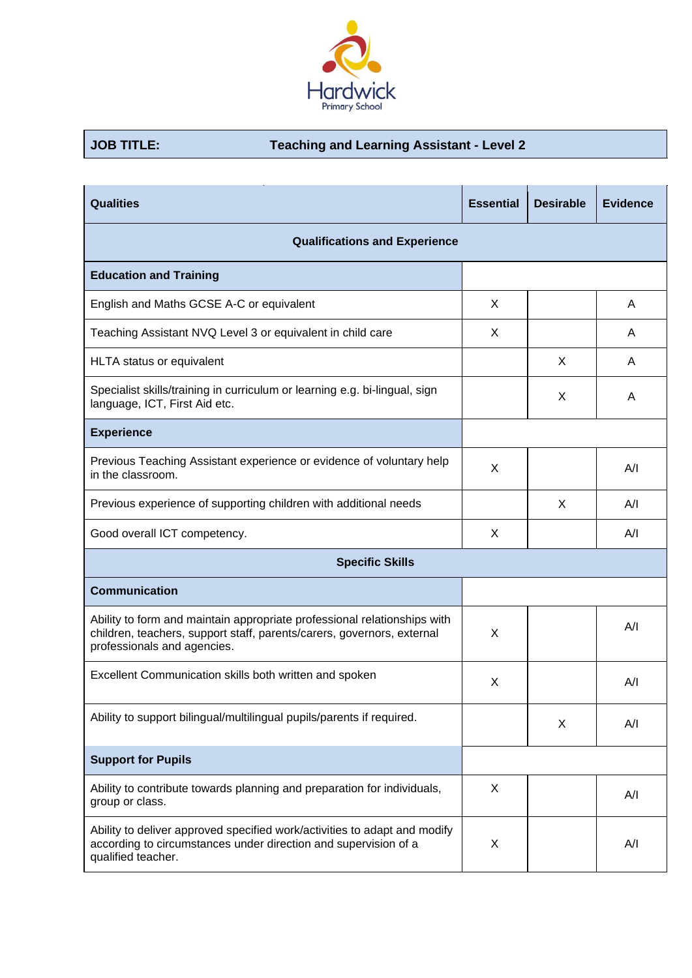

## **JOB TITLE: Teaching and Learning Assistant - Level 2**

| <b>Qualities</b>                                                                                                                                                                  | <b>Essential</b> | <b>Desirable</b> | <b>Evidence</b> |  |  |
|-----------------------------------------------------------------------------------------------------------------------------------------------------------------------------------|------------------|------------------|-----------------|--|--|
| <b>Qualifications and Experience</b>                                                                                                                                              |                  |                  |                 |  |  |
| <b>Education and Training</b>                                                                                                                                                     |                  |                  |                 |  |  |
| English and Maths GCSE A-C or equivalent                                                                                                                                          | X                |                  | A               |  |  |
| Teaching Assistant NVQ Level 3 or equivalent in child care                                                                                                                        | X                |                  | A               |  |  |
| HLTA status or equivalent                                                                                                                                                         |                  | X                | Α               |  |  |
| Specialist skills/training in curriculum or learning e.g. bi-lingual, sign<br>language, ICT, First Aid etc.                                                                       |                  | X                | Α               |  |  |
| <b>Experience</b>                                                                                                                                                                 |                  |                  |                 |  |  |
| Previous Teaching Assistant experience or evidence of voluntary help<br>in the classroom.                                                                                         | X                |                  | A/I             |  |  |
| Previous experience of supporting children with additional needs                                                                                                                  |                  | X                | A/I             |  |  |
| Good overall ICT competency.                                                                                                                                                      | X                |                  | A/I             |  |  |
| <b>Specific Skills</b>                                                                                                                                                            |                  |                  |                 |  |  |
| <b>Communication</b>                                                                                                                                                              |                  |                  |                 |  |  |
| Ability to form and maintain appropriate professional relationships with<br>children, teachers, support staff, parents/carers, governors, external<br>professionals and agencies. | X                |                  | A/I             |  |  |
| Excellent Communication skills both written and spoken                                                                                                                            | X                |                  | A/I             |  |  |
| Ability to support bilingual/multilingual pupils/parents if required.                                                                                                             |                  | X                | A/I             |  |  |
| <b>Support for Pupils</b>                                                                                                                                                         |                  |                  |                 |  |  |
| Ability to contribute towards planning and preparation for individuals,<br>group or class.                                                                                        | X                |                  | A/I             |  |  |
| Ability to deliver approved specified work/activities to adapt and modify<br>according to circumstances under direction and supervision of a<br>qualified teacher.                | X                |                  | A/I             |  |  |